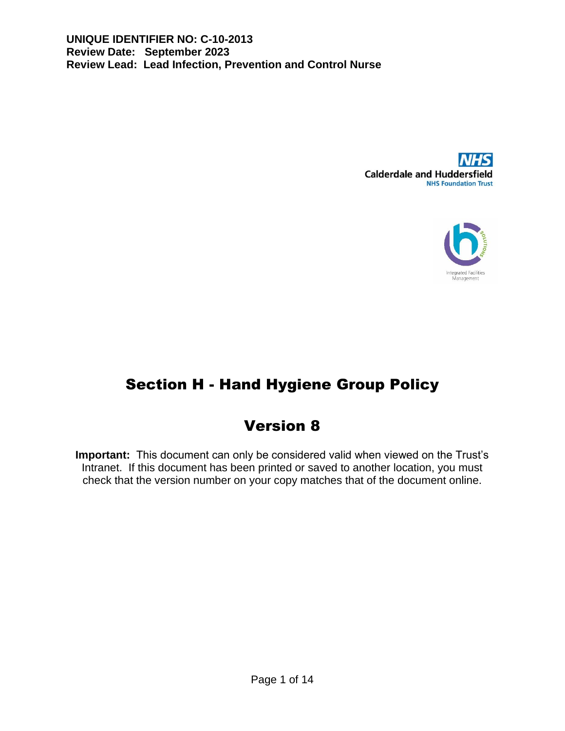



# Section H - Hand Hygiene Group Policy

# Version 8

**Important:** This document can only be considered valid when viewed on the Trust's Intranet. If this document has been printed or saved to another location, you must check that the version number on your copy matches that of the document online.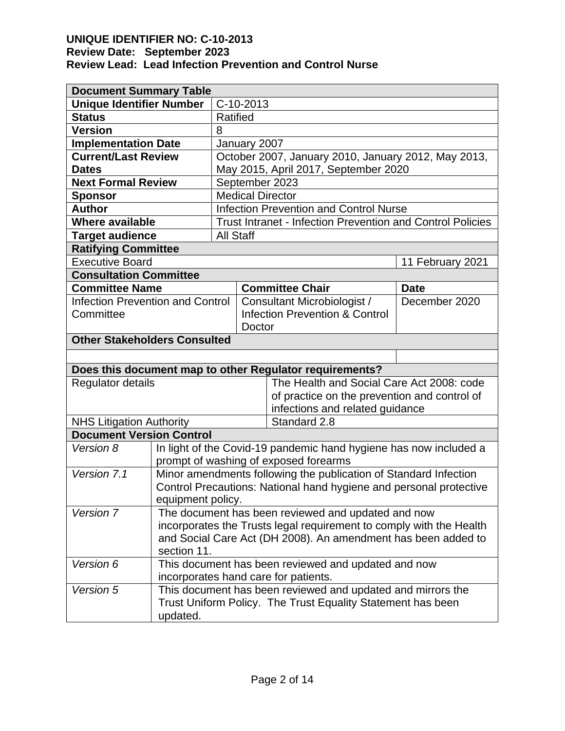| <b>Document Summary Table</b>                               |                                                                                                           |                                                                   |                                              |                                                         |                  |  |
|-------------------------------------------------------------|-----------------------------------------------------------------------------------------------------------|-------------------------------------------------------------------|----------------------------------------------|---------------------------------------------------------|------------------|--|
| <b>Unique Identifier Number</b>                             |                                                                                                           | C-10-2013                                                         |                                              |                                                         |                  |  |
| <b>Status</b>                                               |                                                                                                           | Ratified                                                          |                                              |                                                         |                  |  |
| <b>Version</b>                                              |                                                                                                           | 8                                                                 |                                              |                                                         |                  |  |
| <b>Implementation Date</b>                                  |                                                                                                           | January 2007                                                      |                                              |                                                         |                  |  |
| <b>Current/Last Review</b>                                  |                                                                                                           | October 2007, January 2010, January 2012, May 2013,               |                                              |                                                         |                  |  |
| <b>Dates</b>                                                |                                                                                                           | May 2015, April 2017, September 2020                              |                                              |                                                         |                  |  |
| <b>Next Formal Review</b>                                   |                                                                                                           | September 2023                                                    |                                              |                                                         |                  |  |
| <b>Sponsor</b>                                              |                                                                                                           | <b>Medical Director</b>                                           |                                              |                                                         |                  |  |
| <b>Author</b>                                               |                                                                                                           | <b>Infection Prevention and Control Nurse</b>                     |                                              |                                                         |                  |  |
| <b>Where available</b>                                      |                                                                                                           | Trust Intranet - Infection Prevention and Control Policies        |                                              |                                                         |                  |  |
| <b>Target audience</b>                                      |                                                                                                           | <b>All Staff</b>                                                  |                                              |                                                         |                  |  |
| <b>Ratifying Committee</b>                                  |                                                                                                           |                                                                   |                                              |                                                         |                  |  |
| <b>Executive Board</b>                                      |                                                                                                           |                                                                   |                                              |                                                         | 11 February 2021 |  |
| <b>Consultation Committee</b>                               |                                                                                                           |                                                                   |                                              |                                                         |                  |  |
| <b>Committee Name</b>                                       |                                                                                                           |                                                                   |                                              | <b>Committee Chair</b>                                  | <b>Date</b>      |  |
| <b>Infection Prevention and Control</b>                     |                                                                                                           |                                                                   |                                              | Consultant Microbiologist /                             | December 2020    |  |
| Committee                                                   |                                                                                                           |                                                                   |                                              | <b>Infection Prevention &amp; Control</b>               |                  |  |
|                                                             |                                                                                                           |                                                                   | Doctor                                       |                                                         |                  |  |
| <b>Other Stakeholders Consulted</b>                         |                                                                                                           |                                                                   |                                              |                                                         |                  |  |
|                                                             |                                                                                                           |                                                                   |                                              |                                                         |                  |  |
|                                                             |                                                                                                           |                                                                   |                                              | Does this document map to other Regulator requirements? |                  |  |
| <b>Regulator details</b>                                    |                                                                                                           |                                                                   | The Health and Social Care Act 2008: code    |                                                         |                  |  |
|                                                             |                                                                                                           |                                                                   | of practice on the prevention and control of |                                                         |                  |  |
|                                                             |                                                                                                           |                                                                   | infections and related guidance              |                                                         |                  |  |
| <b>NHS Litigation Authority</b>                             |                                                                                                           |                                                                   |                                              | Standard 2.8                                            |                  |  |
| <b>Document Version Control</b>                             |                                                                                                           |                                                                   |                                              |                                                         |                  |  |
| Version 8                                                   |                                                                                                           | In light of the Covid-19 pandemic hand hygiene has now included a |                                              |                                                         |                  |  |
| Version 7.1                                                 | prompt of washing of exposed forearms<br>Minor amendments following the publication of Standard Infection |                                                                   |                                              |                                                         |                  |  |
|                                                             | Control Precautions: National hand hygiene and personal protective                                        |                                                                   |                                              |                                                         |                  |  |
|                                                             | equipment policy.                                                                                         |                                                                   |                                              |                                                         |                  |  |
| Version 7                                                   | The document has been reviewed and updated and now                                                        |                                                                   |                                              |                                                         |                  |  |
|                                                             | incorporates the Trusts legal requirement to comply with the Health                                       |                                                                   |                                              |                                                         |                  |  |
|                                                             | and Social Care Act (DH 2008). An amendment has been added to                                             |                                                                   |                                              |                                                         |                  |  |
| section 11.                                                 |                                                                                                           |                                                                   |                                              |                                                         |                  |  |
| Version 6                                                   | This document has been reviewed and updated and now                                                       |                                                                   |                                              |                                                         |                  |  |
|                                                             |                                                                                                           |                                                                   |                                              | incorporates hand care for patients.                    |                  |  |
| Version 5                                                   | This document has been reviewed and updated and mirrors the                                               |                                                                   |                                              |                                                         |                  |  |
| Trust Uniform Policy. The Trust Equality Statement has been |                                                                                                           |                                                                   |                                              |                                                         |                  |  |
|                                                             | updated.                                                                                                  |                                                                   |                                              |                                                         |                  |  |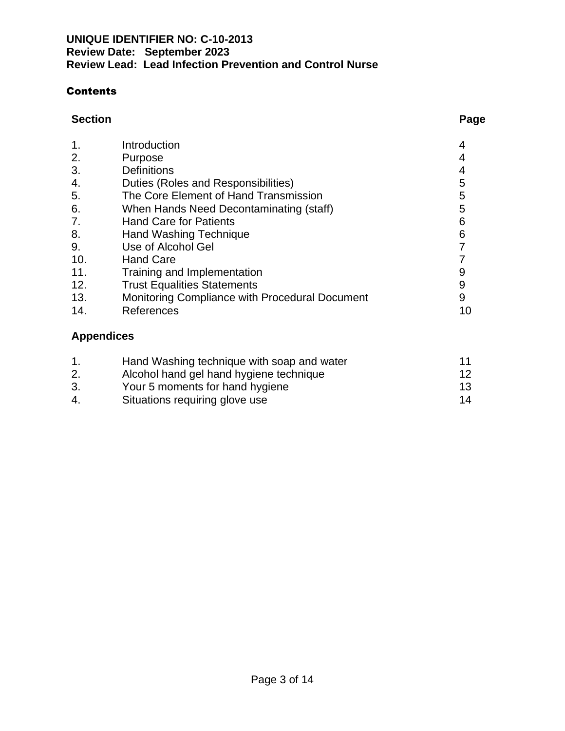### **Contents**

#### **Section Page**

| <b>Definitions</b>                             |                         |
|------------------------------------------------|-------------------------|
| Duties (Roles and Responsibilities)            | 5                       |
| The Core Element of Hand Transmission          | 5                       |
| When Hands Need Decontaminating (staff)        | 5                       |
| <b>Hand Care for Patients</b>                  | 6                       |
| <b>Hand Washing Technique</b>                  | 6                       |
| Use of Alcohol Gel                             |                         |
| <b>Hand Care</b>                               |                         |
| Training and Implementation                    | 9                       |
| <b>Trust Equalities Statements</b>             | 9                       |
| Monitoring Compliance with Procedural Document | 9                       |
| References                                     | 10                      |
|                                                | Introduction<br>Purpose |

# **Appendices**

|    | Hand Washing technique with soap and water |                 |
|----|--------------------------------------------|-----------------|
|    | Alcohol hand gel hand hygiene technique    | 12 <sup>°</sup> |
| 3. | Your 5 moments for hand hygiene            | 13              |
| 4. | Situations requiring glove use             | 14              |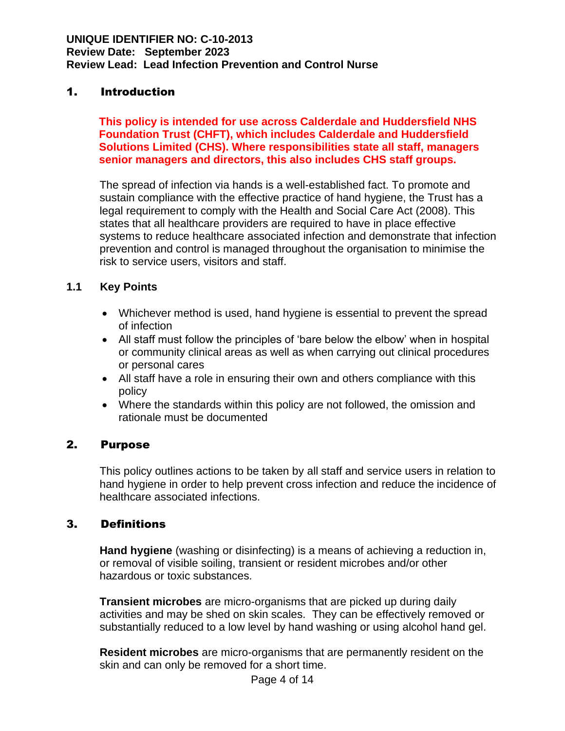#### 1. Introduction

**This policy is intended for use across Calderdale and Huddersfield NHS Foundation Trust (CHFT), which includes Calderdale and Huddersfield Solutions Limited (CHS). Where responsibilities state all staff, managers senior managers and directors, this also includes CHS staff groups.**

The spread of infection via hands is a well-established fact. To promote and sustain compliance with the effective practice of hand hygiene, the Trust has a legal requirement to comply with the Health and Social Care Act (2008). This states that all healthcare providers are required to have in place effective systems to reduce healthcare associated infection and demonstrate that infection prevention and control is managed throughout the organisation to minimise the risk to service users, visitors and staff.

#### **1.1 Key Points**

- Whichever method is used, hand hygiene is essential to prevent the spread of infection
- All staff must follow the principles of 'bare below the elbow' when in hospital or community clinical areas as well as when carrying out clinical procedures or personal cares
- All staff have a role in ensuring their own and others compliance with this policy
- Where the standards within this policy are not followed, the omission and rationale must be documented

#### 2. Purpose

This policy outlines actions to be taken by all staff and service users in relation to hand hygiene in order to help prevent cross infection and reduce the incidence of healthcare associated infections.

#### 3. Definitions

**Hand hygiene** (washing or disinfecting) is a means of achieving a reduction in, or removal of visible soiling, transient or resident microbes and/or other hazardous or toxic substances.

**Transient microbes** are micro-organisms that are picked up during daily activities and may be shed on skin scales. They can be effectively removed or substantially reduced to a low level by hand washing or using alcohol hand gel.

**Resident microbes** are micro-organisms that are permanently resident on the skin and can only be removed for a short time.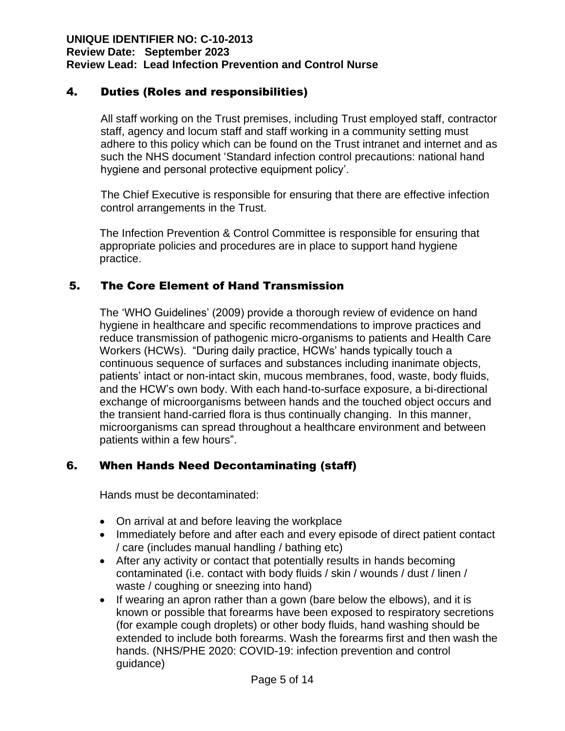## 4. Duties (Roles and responsibilities)

All staff working on the Trust premises, including Trust employed staff, contractor staff, agency and locum staff and staff working in a community setting must adhere to this policy which can be found on the Trust intranet and internet and as such the NHS document 'Standard infection control precautions: national hand hygiene and personal protective equipment policy'.

The Chief Executive is responsible for ensuring that there are effective infection control arrangements in the Trust.

The Infection Prevention & Control Committee is responsible for ensuring that appropriate policies and procedures are in place to support hand hygiene practice.

### 5. The Core Element of Hand Transmission

The 'WHO Guidelines' (2009) provide a thorough review of evidence on hand hygiene in healthcare and specific recommendations to improve practices and reduce transmission of pathogenic micro-organisms to patients and Health Care Workers (HCWs). "During daily practice, HCWs' hands typically touch a continuous sequence of surfaces and substances including inanimate objects, patients' intact or non-intact skin, mucous membranes, food, waste, body fluids, and the HCW's own body. With each hand-to-surface exposure, a bi-directional exchange of microorganisms between hands and the touched object occurs and the transient hand-carried flora is thus continually changing. In this manner, microorganisms can spread throughout a healthcare environment and between patients within a few hours".

## 6. When Hands Need Decontaminating (staff)

Hands must be decontaminated:

- On arrival at and before leaving the workplace
- Immediately before and after each and every episode of direct patient contact / care (includes manual handling / bathing etc)
- After any activity or contact that potentially results in hands becoming contaminated (i.e. contact with body fluids / skin / wounds / dust / linen / waste / coughing or sneezing into hand)
- If wearing an apron rather than a gown (bare below the elbows), and it is known or possible that forearms have been exposed to respiratory secretions (for example cough droplets) or other body fluids, hand washing should be extended to include both forearms. Wash the forearms first and then wash the hands. (NHS/PHE 2020: COVID-19: infection prevention and control guidance)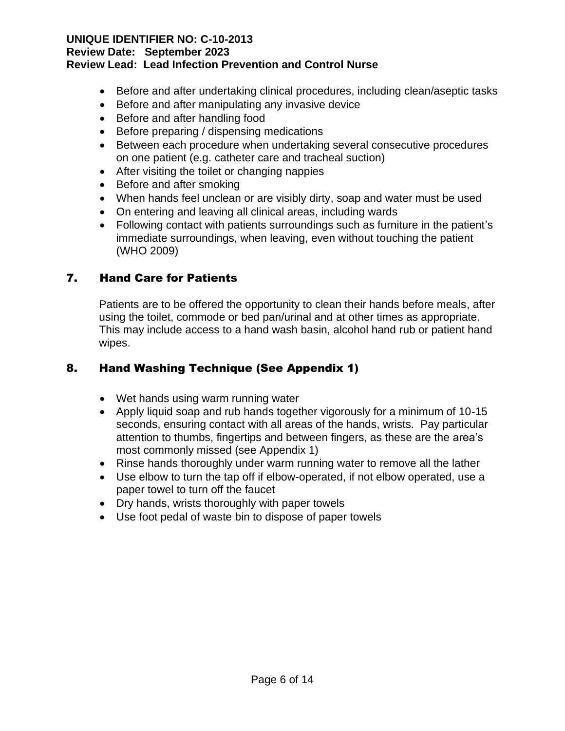### **UNIQUE IDENTIFIER NO: C-10-2013**

#### **Review Date: September 2023**

#### **Review Lead: Lead Infection Prevention and Control Nurse**

- Before and after undertaking clinical procedures, including clean/aseptic tasks
- Before and after manipulating any invasive device
- Before and after handling food
- Before preparing / dispensing medications
- Between each procedure when undertaking several consecutive procedures on one patient (e.g. catheter care and tracheal suction)
- After visiting the toilet or changing nappies
- Before and after smoking
- When hands feel unclean or are visibly dirty, soap and water must be used
- On entering and leaving all clinical areas, including wards
- Following contact with patients surroundings such as furniture in the patient's immediate surroundings, when leaving, even without touching the patient (WHO 2009)

# 7. Hand Care for Patients

Patients are to be offered the opportunity to clean their hands before meals, after using the toilet, commode or bed pan/urinal and at other times as appropriate. This may include access to a hand wash basin, alcohol hand rub or patient hand wipes.

## 8. Hand Washing Technique (See Appendix 1)

- Wet hands using warm running water
- Apply liquid soap and rub hands together vigorously for a minimum of 10-15 seconds, ensuring contact with all areas of the hands, wrists. Pay particular attention to thumbs, fingertips and between fingers, as these are the area's most commonly missed (see Appendix 1)
- Rinse hands thoroughly under warm running water to remove all the lather
- Use elbow to turn the tap off if elbow-operated, if not elbow operated, use a paper towel to turn off the faucet
- Dry hands, wrists thoroughly with paper towels
- Use foot pedal of waste bin to dispose of paper towels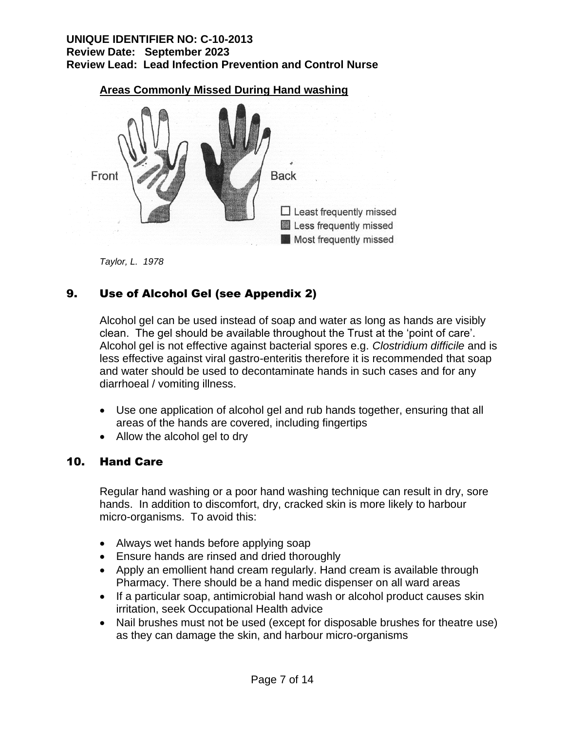

**Areas Commonly Missed During Hand washing**

*Taylor, L. 1978*

# 9. Use of Alcohol Gel (see Appendix 2)

Alcohol gel can be used instead of soap and water as long as hands are visibly clean. The gel should be available throughout the Trust at the 'point of care'. Alcohol gel is not effective against bacterial spores e.g. *Clostridium difficile* and is less effective against viral gastro-enteritis therefore it is recommended that soap and water should be used to decontaminate hands in such cases and for any diarrhoeal / vomiting illness.

- Use one application of alcohol gel and rub hands together, ensuring that all areas of the hands are covered, including fingertips
- Allow the alcohol gel to dry

#### 10. Hand Care

Regular hand washing or a poor hand washing technique can result in dry, sore hands. In addition to discomfort, dry, cracked skin is more likely to harbour micro-organisms. To avoid this:

- Always wet hands before applying soap
- Ensure hands are rinsed and dried thoroughly
- Apply an emollient hand cream regularly. Hand cream is available through Pharmacy. There should be a hand medic dispenser on all ward areas
- If a particular soap, antimicrobial hand wash or alcohol product causes skin irritation, seek Occupational Health advice
- Nail brushes must not be used (except for disposable brushes for theatre use) as they can damage the skin, and harbour micro-organisms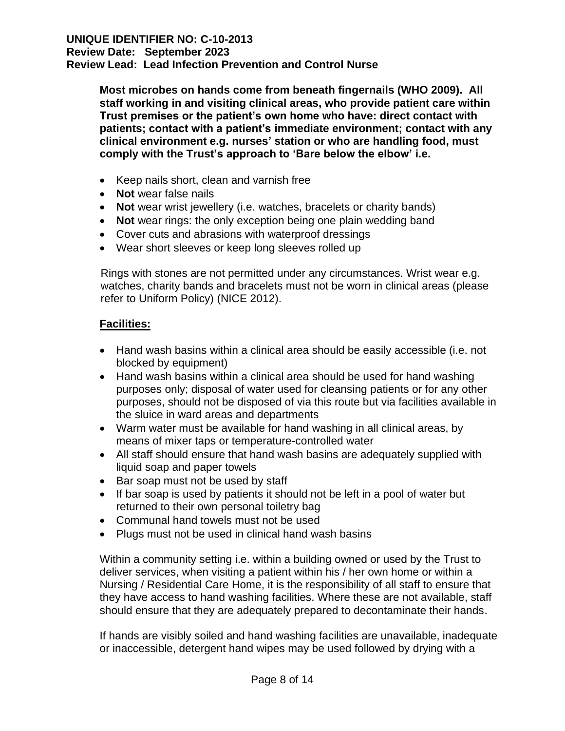**Most microbes on hands come from beneath fingernails (WHO 2009). All staff working in and visiting clinical areas, who provide patient care within Trust premises or the patient's own home who have: direct contact with patients; contact with a patient's immediate environment; contact with any clinical environment e.g. nurses' station or who are handling food, must comply with the Trust's approach to 'Bare below the elbow' i.e.**

- Keep nails short, clean and varnish free
- **Not** wear false nails
- **Not** wear wrist jewellery (i.e. watches, bracelets or charity bands)
- **Not** wear rings: the only exception being one plain wedding band
- Cover cuts and abrasions with waterproof dressings
- Wear short sleeves or keep long sleeves rolled up

Rings with stones are not permitted under any circumstances. Wrist wear e.g. watches, charity bands and bracelets must not be worn in clinical areas (please refer to Uniform Policy) (NICE 2012).

#### **Facilities:**

- Hand wash basins within a clinical area should be easily accessible (i.e. not blocked by equipment)
- Hand wash basins within a clinical area should be used for hand washing purposes only; disposal of water used for cleansing patients or for any other purposes, should not be disposed of via this route but via facilities available in the sluice in ward areas and departments
- Warm water must be available for hand washing in all clinical areas, by means of mixer taps or temperature-controlled water
- All staff should ensure that hand wash basins are adequately supplied with liquid soap and paper towels
- Bar soap must not be used by staff
- If bar soap is used by patients it should not be left in a pool of water but returned to their own personal toiletry bag
- Communal hand towels must not be used
- Plugs must not be used in clinical hand wash basins

Within a community setting i.e. within a building owned or used by the Trust to deliver services, when visiting a patient within his / her own home or within a Nursing / Residential Care Home, it is the responsibility of all staff to ensure that they have access to hand washing facilities. Where these are not available, staff should ensure that they are adequately prepared to decontaminate their hands.

If hands are visibly soiled and hand washing facilities are unavailable, inadequate or inaccessible, detergent hand wipes may be used followed by drying with a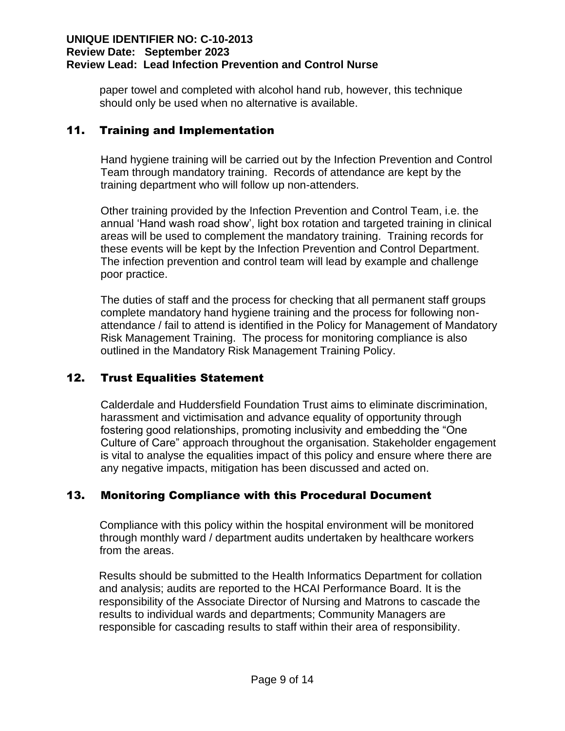paper towel and completed with alcohol hand rub, however, this technique should only be used when no alternative is available.

#### 11. Training and Implementation

Hand hygiene training will be carried out by the Infection Prevention and Control Team through mandatory training. Records of attendance are kept by the training department who will follow up non-attenders.

Other training provided by the Infection Prevention and Control Team, i.e. the annual 'Hand wash road show', light box rotation and targeted training in clinical areas will be used to complement the mandatory training. Training records for these events will be kept by the Infection Prevention and Control Department. The infection prevention and control team will lead by example and challenge poor practice.

The duties of staff and the process for checking that all permanent staff groups complete mandatory hand hygiene training and the process for following nonattendance / fail to attend is identified in the Policy for Management of Mandatory Risk Management Training. The process for monitoring compliance is also outlined in the Mandatory Risk Management Training Policy.

#### 12. Trust Equalities Statement

Calderdale and Huddersfield Foundation Trust aims to eliminate discrimination, harassment and victimisation and advance equality of opportunity through fostering good relationships, promoting inclusivity and embedding the "One Culture of Care" approach throughout the organisation. Stakeholder engagement is vital to analyse the equalities impact of this policy and ensure where there are any negative impacts, mitigation has been discussed and acted on.

#### 13. Monitoring Compliance with this Procedural Document

Compliance with this policy within the hospital environment will be monitored through monthly ward / department audits undertaken by healthcare workers from the areas.

Results should be submitted to the Health Informatics Department for collation and analysis; audits are reported to the HCAI Performance Board. It is the responsibility of the Associate Director of Nursing and Matrons to cascade the results to individual wards and departments; Community Managers are responsible for cascading results to staff within their area of responsibility.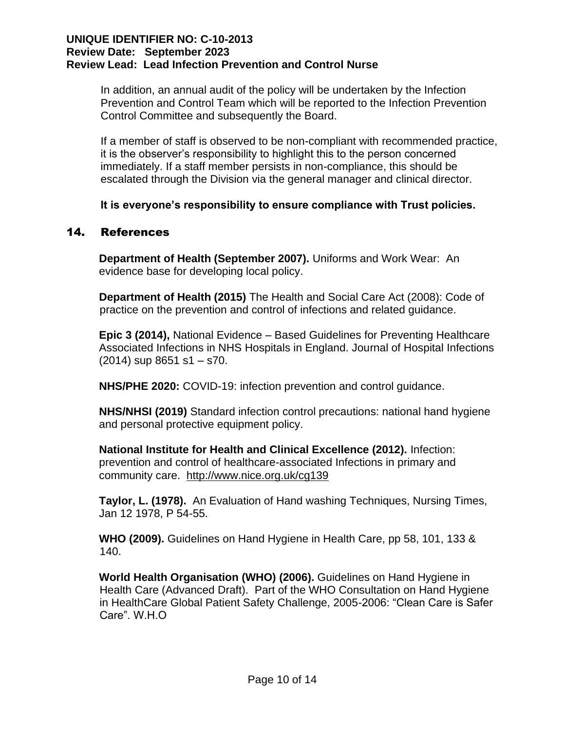In addition, an annual audit of the policy will be undertaken by the Infection Prevention and Control Team which will be reported to the Infection Prevention Control Committee and subsequently the Board.

If a member of staff is observed to be non-compliant with recommended practice, it is the observer's responsibility to highlight this to the person concerned immediately. If a staff member persists in non-compliance, this should be escalated through the Division via the general manager and clinical director.

**It is everyone's responsibility to ensure compliance with Trust policies.**

#### 14. References

**Department of Health (September 2007).** Uniforms and Work Wear: An evidence base for developing local policy.

**Department of Health (2015)** The Health and Social Care Act (2008): Code of practice on the prevention and control of infections and related guidance.

**Epic 3 (2014),** National Evidence – Based Guidelines for Preventing Healthcare Associated Infections in NHS Hospitals in England. Journal of Hospital Infections (2014) sup 8651 s1 – s70.

**NHS/PHE 2020:** COVID-19: infection prevention and control guidance.

**NHS/NHSI (2019)** Standard infection control precautions: national hand hygiene and personal protective equipment policy.

**National Institute for Health and Clinical Excellence (2012).** Infection: prevention and control of healthcare-associated Infections in primary and community care. <http://www.nice.org.uk/cg139>

**Taylor, L. (1978).** An Evaluation of Hand washing Techniques, Nursing Times, Jan 12 1978, P 54-55.

**WHO (2009).** Guidelines on Hand Hygiene in Health Care, pp 58, 101, 133 & 140.

**World Health Organisation (WHO) (2006).** Guidelines on Hand Hygiene in Health Care (Advanced Draft). Part of the WHO Consultation on Hand Hygiene in HealthCare Global Patient Safety Challenge, 2005-2006: "Clean Care is Safer Care". W.H.O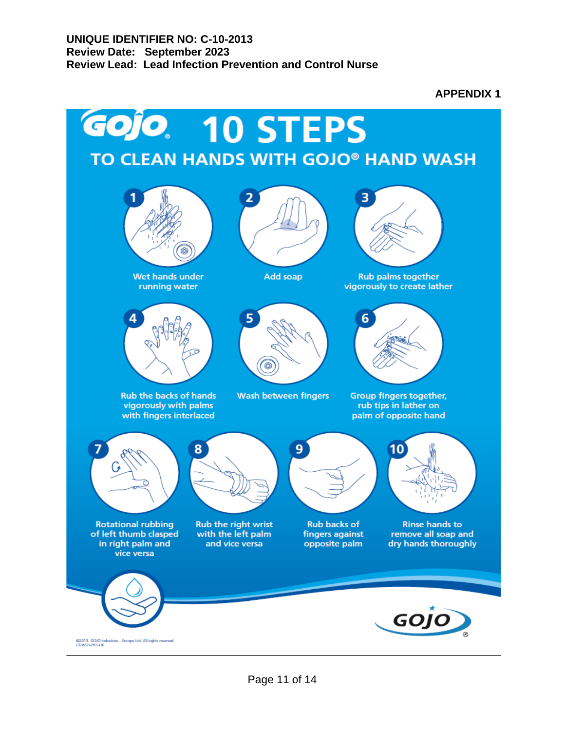**APPENDIX 1**

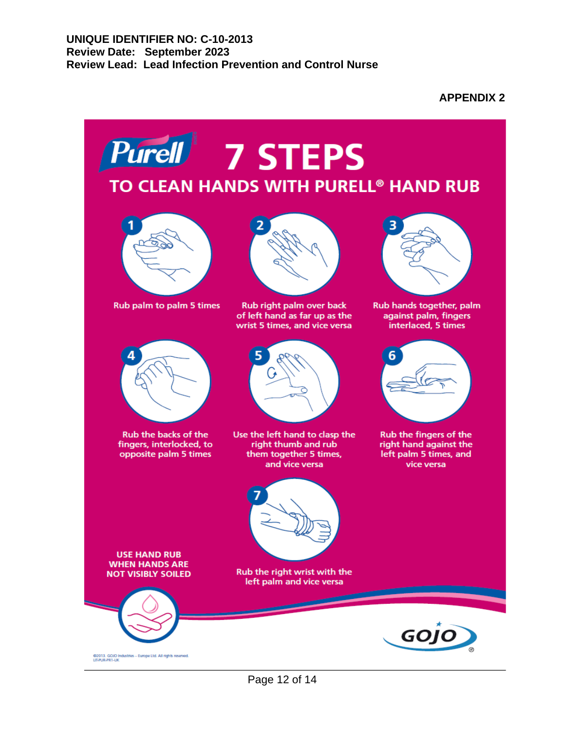**APPENDIX 2**

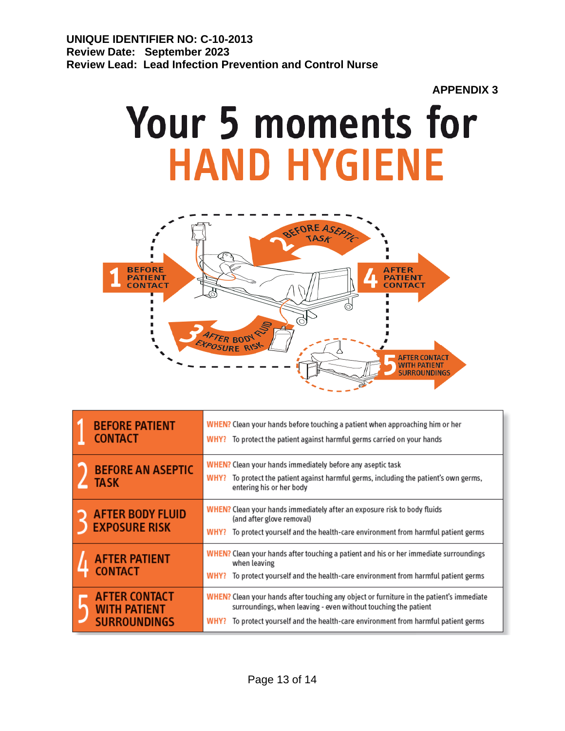#### **APPENDIX 3**

# **Your 5 moments for HAND HYGIENE**



| <b>BEFORE PATIENT</b><br><b>CONTACT</b>                            | WHEN? Clean your hands before touching a patient when approaching him or her<br>To protect the patient against harmful germs carried on your hands<br>WHY?                                                                                           |
|--------------------------------------------------------------------|------------------------------------------------------------------------------------------------------------------------------------------------------------------------------------------------------------------------------------------------------|
| <b>BEFORE AN ASEPTIC</b><br><b>TASK</b>                            | <b>WHEN?</b> Clean your hands immediately before any aseptic task<br>To protect the patient against harmful germs, including the patient's own germs,<br>WHY?<br>entering his or her body                                                            |
| <b>AFTER BODY FLUID</b><br><b>EXPOSURE RISK</b>                    | WHEN? Clean your hands immediately after an exposure risk to body fluids<br>(and after glove removal)<br>To protect yourself and the health-care environment from harmful patient germs<br>WHY?                                                      |
| <b>AFTER PATIENT</b><br><b>CONTACT</b>                             | WHEN? Clean your hands after touching a patient and his or her immediate surroundings<br>when leaving<br>To protect yourself and the health-care environment from harmful patient germs<br>WHY?                                                      |
| <b>AFTER CONTACT</b><br><b>WITH PATIENT</b><br><b>SURROUNDINGS</b> | WHEN? Clean your hands after touching any object or furniture in the patient's immediate<br>surroundings, when leaving - even without touching the patient<br>To protect yourself and the health-care environment from harmful patient germs<br>WHY? |